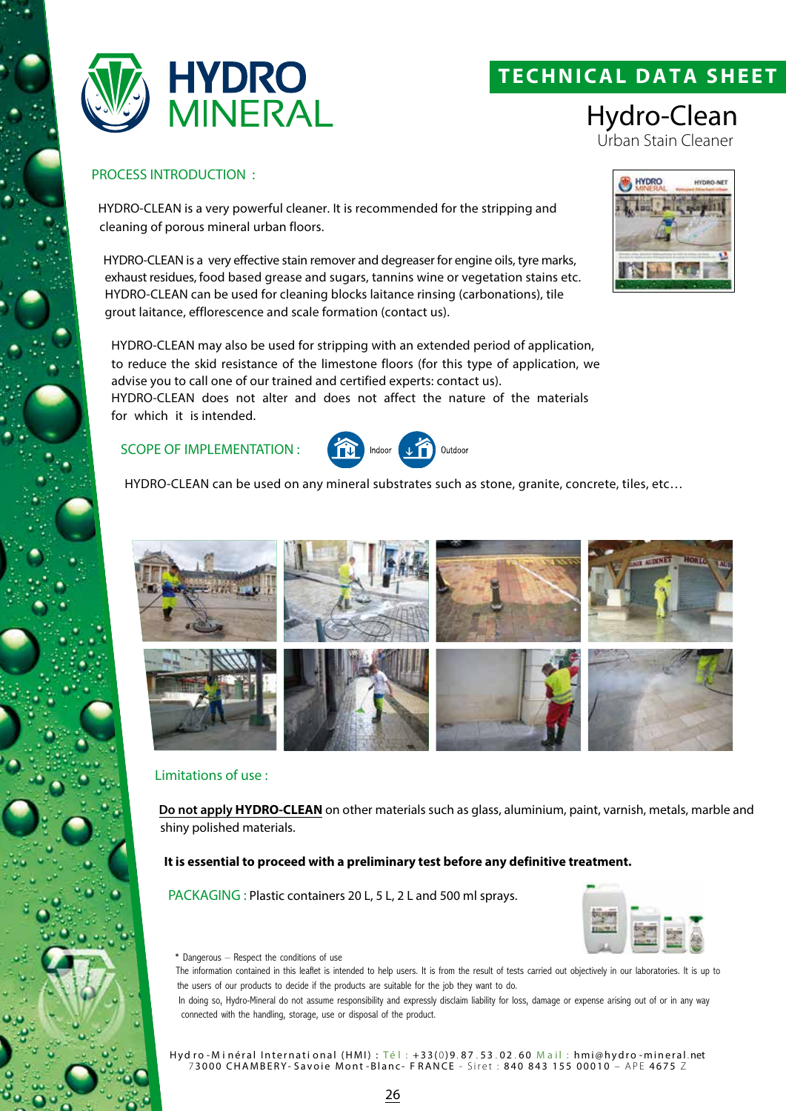

# **TECHNICAL DATA SHEET**

Hydro-Clean Urban Stain Cleaner

#### PROCESS INTRODUCTION :

HYDRO-CLEAN is a very powerful cleaner. It is recommended for the stripping and cleaning of porous mineral urban floors.

HYDRO-CLEAN is a very effective stain remover and degreaser for engine oils, tyre marks, exhaust residues, food based grease and sugars, tannins wine or vegetation stains etc. HYDRO-CLEAN can be used for cleaning blocks laitance rinsing (carbonations), tile grout laitance, efflorescence and scale formation (contact us).

HYDRO-CLEAN may also be used for stripping with an extended period of application, to reduce the skid resistance of the limestone floors (for this type of application, we advise you to call one of our trained and certified experts: contact us). HYDRO-CLEAN does not alter and does not affect the nature of the materials

for which it is intended.

### SCOPE OF IMPLEMENTATION :



HYDRO-CLEAN can be used on any mineral substrates such as stone, granite, concrete, tiles, etc…



#### Limitations of use :

**Do not apply HYDRO-CLEAN** on other materials such as glass, aluminium, paint, varnish, metals, marble and shiny polished materials.

#### **It is essential to proceed with a preliminary test before any definitive treatment.**

PACKAGING : Plastic containers 20 L, 5 L, 2 L and 500 ml sprays.



\* Dangerous – Respect the conditions of use

The information contained in this leaflet is intended to help users. It is from the result of tests carried out objectively in our laboratories. It is up to the users of our products to decide if the products are suitable for the job they want to do.

In doing so, Hydro-Mineral do not assume responsibility and expressly disclaim liability for loss, damage or expense arising out of or in any way connected with the handling, storage, use or disposal of the product.

Hyd ro - Minéral International (HMI) : Té l : +33(0)9.87.53.02.60 Mail : hmi@hydro - mineral.net 7 3000 CHAMBERY- Savoie Mont -Blanc- F RANCE - Siret : 840 843 155 00010 – APE 4675 Z